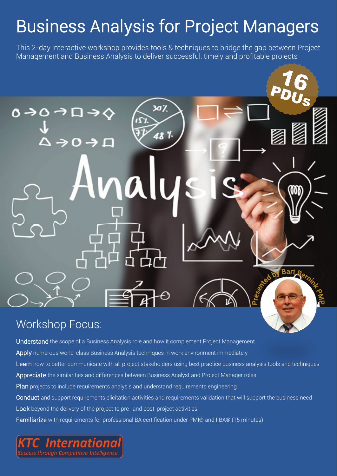This 2-day interactive workshop provides tools & techniques to bridge the gap between Project Management and Business Analysis to deliver successful, timely and profitable projects



### Workshop Focus:

Understand the scope of a Business Analysis role and how it complement Project Management Apply numerous world-class Business Analysis techniques in work environment immediately Learn how to better communicate with all project stakeholders using best practice business analysis tools and techniques Appreciate the similarities and differences between Business Analyst and Project Manager roles Plan projects to include requirements analysis and understand requirements engineering Conduct and support requirements elicitation activities and requirements validation that will support the business need Look beyond the delivery of the project to pre- and post-project activities Familiarize with requirements for professional BA certification under PMI® and IIBA® (15 minutes)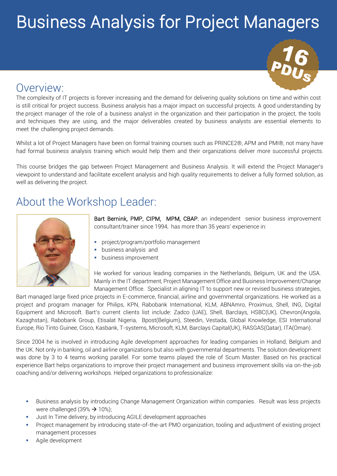

## Overview:

The complexity of IT projects is forever increasing and the demand for delivering quality solutions on time and within cost is still critical for project success. Business analysis has a major impact on successful projects. A good understanding by the project manager of the role of a business analyst in the organization and their participation in the project, the tools and techniques they are using, and the major deliverables created by business analysts are essential elements to meet the challenging project demands.

Whilst a lot of Project Managers have been on formal training courses such as PRINCE2®, APM and PMI®, not many have had formal business analysis training which would help them and their organizations deliver more successful projects.

This course bridges the gap between Project Management and Business Analysis. It will extend the Project Manager's viewpoint to understand and facilitate excellent analysis and high quality requirements to deliver a fully formed solution, as well as delivering the project.

### About the Workshop Leader:



Bart Bernink, PMP, CIPM, MPM, CBAP, an independent senior business improvement consultant/trainer since 1994, has more than 35 years' experience in:

- project/program/portfolio management
- business analysis and
- business improvement

He worked for various leading companies in the Netherlands, Belgium, UK and the USA. Mainly in the IT department, Project Management Office and Business Improvement/Change Management Office. Specialist in aligning IT to support new or revised business strategies,

Bart managed large fixed price projects in E-commerce, financial, airline and governmental organizations. He worked as a project and program manager for Philips, KPN, Rabobank International, KLM, ABNAmro, Proximus, Shell, ING, Digital Equipment and Microsoft. Bart's current clients list include: Zadco (UAE), Shell, Barclays, HSBC(UK), Chevron(Angola, Kazaghstan), Rabobank Group, Etisalat Nigeria, Bpost(Belgium), Steedin, Vestada, Global Knowledge, ESI International Europe, Rio Tinto Guinee, Cisco, Kasbank, T-systems, Microsoft, KLM, Barclays Capital(UK), RASGAS(Qatar), ITA(Oman).

Since 2004 he is involved in introducing Agile development approaches for leading companies in Holland, Belgium and the UK. Not only in banking, oil and airline organizations but also with governmental departments. The solution development was done by 3 to 4 teams working parallel. For some teams played the role of Scum Master. Based on his practical experience Bart helps organizations to improve their project management and business improvement skills via on-the-job coaching and/or delivering workshops. Helped organizations to professionalize:

- Business analysis by introducing Change Management Organization within companies. Result was less projects were challenged (39%  $\rightarrow$  10%);
- Just In Time delivery, by introducing AGILE development approaches
- Project management by introducing state-of-the-art PMO organization, tooling and adjustment of existing project management processes
- Agile development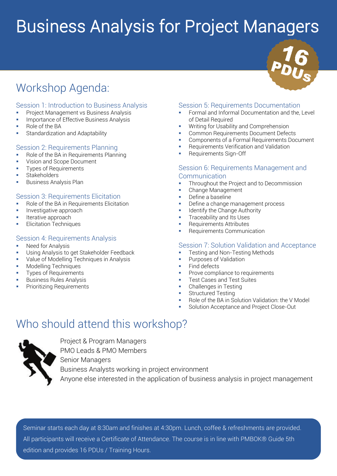## Workshop Agenda:

#### Session 1: Introduction to Business Analysis

- Project Management vs Business Analysis
- Importance of Effective Business Analysis
- Role of the BA
- Standardization and Adaptability

#### Session 2: Requirements Planning

- Role of the BA in Requirements Planning
- **Vision and Scope Document**
- **Types of Requirements**
- **Stakeholders**
- **Business Analysis Plan**

#### Session 3: Requirements Elicitation

- Role of the BA in Requirements Elicitation
- **Investigative approach**
- **Iterative approach**
- **Elicitation Techniques**

#### Session 4: Requirements Analysis

- **Need for Analysis**
- Using Analysis to get Stakeholder Feedback
- Value of Modelling Techniques in Analysis
- Modelling Techniques
- Types of Requirements
- **Business Rules Analysis**
- **Prioritizing Requirements**

#### Session 5: Requirements Documentation

- Formal and Informal Documentation and the, Level of Detail Required
- Writing for Usability and Comprehension
- Common Requirements Document Defects
- Components of a Formal Requirements Document
- Requirements Verification and Validation
- Requirements Sign-Off

#### Session 6: Requirements Management and **Communication**

- Throughout the Project and to Decommission
- Change Management
- Define a baseline
- Define a change management process
- Identify the Change Authority
- Traceability and Its Uses
- Requirements Attributes
- Requirements Communication

#### Session 7: Solution Validation and Acceptance

- Testing and Non-Testing Methods
- Purposes of Validation
- $\blacksquare$  Find defects
- Prove compliance to requirements
- Test Cases and Test Suites
- Challenges in Testing
- Structured Testing
- Role of the BA in Solution Validation: the V Model
- Solution Acceptance and Project Close-Out

### Who should attend this workshop?



Project & Program Managers PMO Leads & PMO Members Senior Managers Business Analysts working in project environment Anyone else interested in the application of business analysis in project management

Seminar starts each day at 8:30am and finishes at 4:30pm. Lunch, coffee & refreshments are provided. All participants will receive a Certificate of Attendance. The course is in line with PMBOK® Guide 6th edition and provides 16 PDUs / Training Hours.